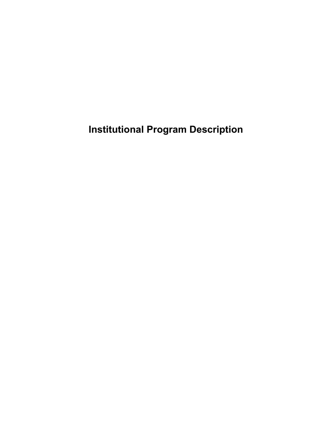**Institutional Program Description**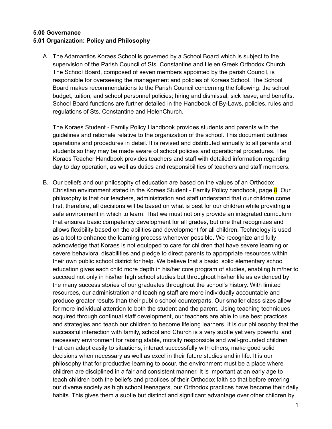#### **5.00 Governance 5.01 Organization: Policy and Philosophy**

A. The Adamantios Koraes School is governed by a School Board which is subject to the supervision of the Parish Council of Sts. Constantine and Helen Greek Orthodox Church. The School Board, composed of seven members appointed by the parish Council, is responsible for overseeing the management and policies of Koraes School. The School Board makes recommendations to the Parish Council concerning the following: the school budget, tuition, and school personnel policies; hiring and dismissal, sick leave, and benefits. School Board functions are further detailed in the Handbook of By-Laws, policies, rules and regulations of Sts. Constantine and HelenChurch.

The Koraes Student - Family Policy Handbook provides students and parents with the guidelines and rationale relative to the organization of the school. This document outlines operations and procedures in detail. It is revised and distributed annually to all parents and students so they may be made aware of school policies and operational procedures. The Koraes Teacher Handbook provides teachers and staff with detailed information regarding day to day operation, as well as duties and responsibilities of teachers and staff members.

B. Our beliefs and our philosophy of education are based on the values of an Orthodox Christian environment stated in the Koraes Student - Family Policy handbook, page 8. Our philosophy is that our teachers, administration and staff understand that our children come first, therefore, all decisions will be based on what is best for our children while providing a safe environment in which to learn. That we must not only provide an integrated curriculum that ensures basic competency development for all grades, but one that recognizes and allows flexibility based on the abilities and development for all children. Technology is used as a tool to enhance the learning process whenever possible. We recognize and fully acknowledge that Koraes is not equipped to care for children that have severe learning or severe behavioral disabilities and pledge to direct parents to appropriate resources within their own public school district for help. We believe that a basic, solid elementary school education gives each child more depth in his/her core program of studies, enabling him/her to succeed not only in his/her high school studies but throughout his/her life as evidenced by the many success stories of our graduates throughout the school's history. With limited resources, our administration and teaching staff are more individually accountable and produce greater results than their public school counterparts. Our smaller class sizes allow for more individual attention to both the student and the parent. Using teaching techniques acquired through continual staff development, our teachers are able to use best practices and strategies and teach our children to become lifelong learners. It is our philosophy that the successful interaction with family, school and Church is a very subtle yet very powerful and necessary environment for raising stable, morally responsible and well-grounded children that can adapt easily to situations, interact successfully with others, make good solid decisions when necessary as well as excel in their future studies and in life. It is our philosophy that for productive learning to occur, the environment must be a place where children are disciplined in a fair and consistent manner. It is important at an early age to teach children both the beliefs and practices of their Orthodox faith so that before entering our diverse society as high school teenagers, our Orthodox practices have become their daily habits. This gives them a subtle but distinct and significant advantage over other children by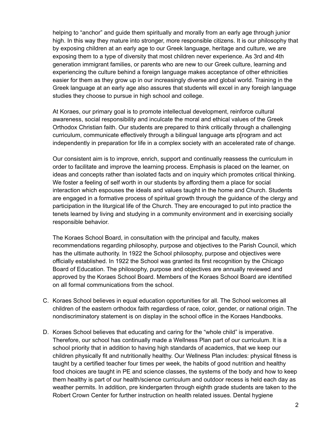helping to "anchor" and guide them spiritually and morally from an early age through junior high. In this way they mature into stronger, more responsible citizens. It is our philosophy that by exposing children at an early age to our Greek language, heritage and culture, we are exposing them to a type of diversity that most children never experience. As 3rd and 4th generation immigrant families, or parents who are new to our Greek culture, learning and experiencing the culture behind a foreign language makes acceptance of other ethnicities easier for them as they grow up in our increasingly diverse and global world. Training in the Greek language at an early age also assures that students will excel in any foreigh language studies they choose to pursue in high school and college.

At Koraes, our primary goal is to promote intellectual development, reinforce cultural awareness, social responsibility and inculcate the moral and ethical values of the Greek Orthodox Christian faith. Our students are prepared to think critically through a challenging curriculum, communicate effectively through a bilingual language arts p[rogram and act independently in preparation for life in a complex society with an accelerated rate of change.

Our consistent aim is to improve, enrich, support and continually reassess the curriculum in order to facilitate and improve the learning process. Emphasis is placed on the learner, on ideas and concepts rather than isolated facts and on inquiry which promotes critical thinking. We foster a feeling of self worth in our students by affording them a place for social interaction which espouses the ideals and values taught in the home and Church. Students are engaged in a formative process of spiritual growth through the guidance of the clergy and participation in the liturgical life of the Church. They are encouraged to put into practice the tenets learned by living and studying in a community environment and in exercising socially responsible behavior.

The Koraes School Board, in consultation with the principal and faculty, makes recommendations regarding philosophy, purpose and objectives to the Parish Council, which has the ultimate authority. In 1922 the School philosophy, purpose and objectives were officially established. In 1922 the School was granted its first recognition by the Chicago Board of Education. The philosophy, purpose and objectives are annually reviewed and approved by the Koraes School Board. Members of the Koraes School Board are identified on all formal communications from the school.

- C. Koraes School believes in equal education opportunities for all. The School welcomes all children of the eastern orthodox faith regardless of race, color, gender, or national origin. The nondiscriminatory statement is on display in the school office in the Koraes Handbooks.
- D. Koraes School believes that educating and caring for the "whole child" is imperative. Therefore, our school has continually made a Wellness Plan part of our curriculum. It is a school priority that in addition to having high standards of academics, that we keep our children physically fit and nutritionally healthy. Our Wellness Plan includes: physical fitness is taught by a certified teacher four times per week, the habits of good nutrition and healthy food choices are taught in PE and science classes, the systems of the body and how to keep them healthy is part of our health/science curriculum and outdoor recess is held each day as weather permits. In addition, pre kindergarten through eighth grade students are taken to the Robert Crown Center for further instruction on health related issues. Dental hygiene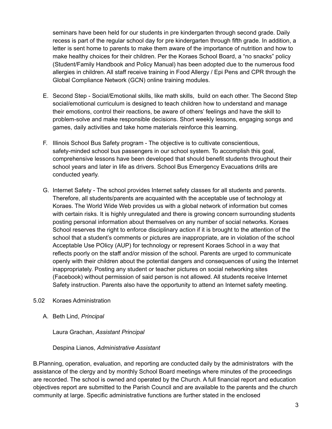seminars have been held for our students in pre kindergarten through second grade. Daily recess is part of the regular school day for pre kindergarten through fifth grade. In addition, a letter is sent home to parents to make them aware of the importance of nutrition and how to make healthy choices for their children. Per the Koraes School Board, a "no snacks" policy (Student/Family Handbook and Policy Manual) has been adopted due to the numerous food allergies in children. All staff receive training in Food Allergy / Epi Pens and CPR through the Global Compliance Network (GCN) online training modules.

- E. Second Step Social/Emotional skills, like math skills, build on each other. The Second Step social/emotional curriculum is designed to teach children how to understand and manage their emotions, control their reactions, be aware of others' feelings and have the skill to problem-solve and make responsible decisions. Short weekly lessons, engaging songs and games, daily activities and take home materials reinforce this learning.
- F. Illinois School Bus Safety program The objective is to cultivate conscientious, safety-minded school bus passengers in our school system. To accomplish this goal, comprehensive lessons have been developed that should benefit students throughout their school years and later in life as drivers. School Bus Emergency Evacuations drills are conducted yearly.
- G. Internet Safety The school provides Internet safety classes for all students and parents. Therefore, all students/parents are acquainted with the acceptable use of technology at Koraes. The World Wide Web provides us with a global network of information but comes with certain risks. It is highly unregulated and there is growing concern surrounding students posting personal information about themselves on any number of social networks. Koraes School reserves the right to enforce disciplinary action if it is brought to the attention of the school that a student's comments or pictures are inappropriate, are in violation of the school Acceptable Use POlicy (AUP) for technology or represent Koraes School in a way that reflects poorly on the staff and/or mission of the school. Parents are urged to communicate openly with their children about the potential dangers and consequences of using the Internet inappropriately. Posting any student or teacher pictures on social networking sites (Facebook) without permission of said person is not allowed. All students receive Internet Safety instruction. Parents also have the opportunity to attend an Internet safety meeting.
- 5.02 Koraes Administration
	- A. Beth Lind, *Principal*

Laura Grachan, *Assistant Principal*

## Despina Lianos, *Administrative Assistant*

B.Planning, operation, evaluation, and reporting are conducted daily by the administrators with the assistance of the clergy and by monthly School Board meetings where minutes of the proceedings are recorded. The school is owned and operated by the Church. A full financial report and education objectives report are submitted to the Parish Council and are available to the parents and the church community at large. Specific administrative functions are further stated in the enclosed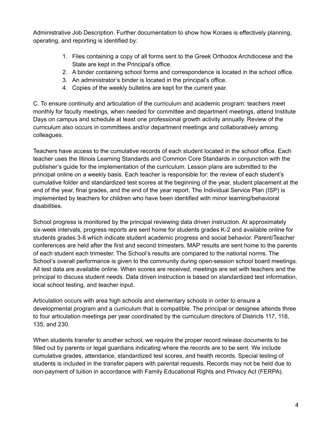Administrative Job Description. Further documentation to show how Koraes is effectively planning, operating, and reporting is identified by:

- 1. Files containing a copy of all forms sent to the Greek Orthodox Archdiocese and the State are kept in the Principal's office.
- 2. A binder containing school forms and correspondence is located in the school office.
- 3. An administrator's binder is located in the principal's office.
- 4. Copies of the weekly bulletins are kept for the current year.

C. To ensure continuity and articulation of the curriculum and academic program: teachers meet monthly for faculty meetings, when needed for committee and department meetings, attend Institute Days on campus and schedule at least one professional growth activity annually. Review of the curriculum also occurs in committees and/or department meetings and collaboratively among colleagues.

Teachers have access to the cumulative records of each student located in the school office. Each teacher uses the Illinois Learning Standards and Common Core Standards in conjunction with the publisher's guide for the implementation of the curriculum. Lesson plans are submitted to the principal online on a weekly basis. Each teacher is responsible for: the review of each student's cumulative folder and standardized test scores at the beginning of the year, student placement at the end of the year, final grades, and the end of the year report. The Individual Service Plan (ISP) is implemented by teachers for children who have been identified with minor learning/behavioral disabilities.

School progress is monitored by the principal reviewing data driven instruction. At approximately six-week intervals, progress reports are sent home for students grades K-2 and available online for students grades 3-8 which indicate student academic progress and social behavior. Parent/Teacher conferences are held after the first and second trimesters. MAP results are sent home to the parents of each student each trimester. The School's results are compared to the national norms. The School's overall performance is given to the community during open-session school board meetings. All test data are available online. When scores are received, meetings are set with teachers and the principal to discuss student needs. Data driven instruction is based on standardized test information, local school testing, and teacher input.

Articulation occurs with area high schools and elementary schools in order to ensure a developmental program and a curriculum that is compatible. The principal or designee attends three to four articulation meetings per year coordinated by the curriculum directors of Districts 117, 118, 135, and 230.

When students transfer to another school, we require the proper record release documents to be filled out by parents or legal guardians indicating where the records are to be sent. We include cumulative grades, attendance, standardized test scores, and health records. Special testing of students is included in the transfer papers with parental requests. Records may not be held due to non-payment of tuition in accordance with Family Educational Rights and Privacy Act (FERPA).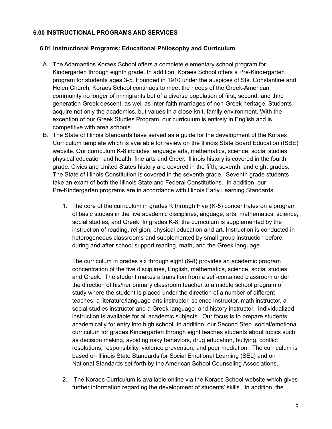## **6.00 INSTRUCTIONAL PROGRAMS AND SERVICES**

#### **6.01 Instructional Programs: Educational Philosophy and Curriculum**

- A. The Adamantios Koraes School offers a complete elementary school program for Kindergarten through eighth grade. In addition, Koraes School offers a Pre-Kindergarten program for students ages 3-5. Founded in 1910 under the auspices of Sts. Constantine and Helen Church, Koraes School continues to meet the needs of the Greek-American community no longer of immigrants but of a diverse population of first, second, and third generation Greek descent, as well as inter-faith marriages of non-Greek heritage. Students acquire not only the academics, but values in a close-knit, family environment. With the exception of our Greek Studies Program, our curriculum is entirely in English and is competitive with area schools.
- B. The State of Illinois Standards have served as a guide for the development of the Koraes Curriculum template which is available for review on the Illinois State Board Education (ISBE) website. Our curriculum K-8 includes language arts, mathematics, science, social studies, physical education and health, fine arts and Greek. Illinois history is covered in the fourth grade. Civics and United States history are covered in the fifth, seventh, and eight grades. The State of Illinois Constitution is covered in the seventh grade. Seventh grade students take an exam of both the Illinois State and Federal Constitutions. In addition, our Pre-Kindergarten programs are in accordance with Illinois Early Learning Standards.
	- 1. The core of the curriculum in grades K through Five (K-5) concentrates on a program of basic studies in the five academic disciplines,language, arts, mathematics, science, social studies, and Greek. In grades K-8, the curriculum is supplemented by the instruction of reading, religion, physical education and art. Instruction is conducted in heterogeneous classrooms and supplemented by small group instruction before, during and after school support reading, math, and the Greek language.

The curriculum in grades six through eight (6-8) provides an academic program concentration of the five disciplines, English, mathematics, science, social studies, and Greek. The student makes a transition from a self-contained classroom under the direction of his/her primary classroom teacher to a middle school program of study where the student is placed under the direction of a number of different teaches: a literature/language arts instructor, science instructor, math instructor, a social studies instructor and a Greek language and history instructor. Individualized instruction is available for all academic subjects. Our focus is to prepare students academically for entry into high school. In addition, our Second Step social/emotional curriculum for grades Kindergarten through eight teaches students about topics such as decision making, avoiding risky behaviors, drug education, bullying, conflict resolutions, responsibility, violence prevention, and peer mediation. The curriculum is based on Illinois State Standards for Social Emotional Learning (SEL) and on National Standards set forth by the American School Counseling Associations.

2. The Koraes Curriculum is available online via the Koraes School website which gives further information regarding the development of students' skills. In addition, the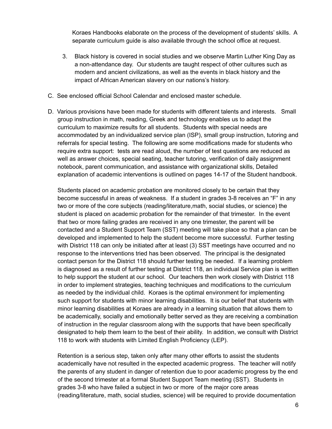Koraes Handbooks elaborate on the process of the development of students' skills. A separate curriculum guide is also available through the school office at request.

- 3. Black history is covered in social studies and we observe Martin Luther King Day as a non-attendance day. Our students are taught respect of other cultures such as modern and ancient civilizations, as well as the events in black history and the impact of African American slavery on our nations's history.
- C. See enclosed official School Calendar and enclosed master schedule.
- D. Various provisions have been made for students with different talents and interests. Small group instruction in math, reading, Greek and technology enables us to adapt the curriculum to maximize results for all students. Students with special needs are accommodated by an individualized service plan (ISP), small group instruction, tutoring and referrals for special testing. The following are some modifications made for students who require extra support: tests are read aloud, the number of test questions are reduced as well as answer choices, special seating, teacher tutoring, verification of daily assignment notebook, parent communication, and assistance with organizational skills, Detailed explanation of academic interventions is outlined on pages 14-17 of the Student handbook.

Students placed on academic probation are monitored closely to be certain that they become successful in areas of weakness. If a student in grades 3-8 receives an "F" in any two or more of the core subjects (reading/literature,math, social studies, or science) the student is placed on academic probation for the remainder of that trimester. In the event that two or more failing grades are received in any one trimester, the parent will be contacted and a Student Support Team (SST) meeting will take place so that a plan can be developed and implemented to help the student become more successful. Further testing with District 118 can only be initiated after at least (3) SST meetings have occurred and no response to the interventions tried has been observed. The principal is the designated contact person for the District 118 should further testing be needed. If a learning problem is diagnosed as a result of further testing at District 118, an individual Service plan is written to help support the student at our school. Our teachers then work closely with District 118 in order to implement strategies, teaching techniques and modifications to the curriculum as needed by the individual child. Koraes is the optimal environment for implementing such support for students with minor learning disabilities. It is our belief that students with minor learning disabilities at Koraes are already in a learning situation that allows them to be academically, socially and emotionally better served as they are receiving a combination of instruction in the regular classroom along with the supports that have been specifically designated to help them learn to the best of their ability. In addition, we consult with District 118 to work with students with Limited English Proficiency (LEP).

Retention is a serious step, taken only after many other efforts to assist the students academically have not resulted in the expected academic progress. The teacher will notify the parents of any student in danger of retention due to poor academic progress by the end of the second trimester at a formal Student Support Team meeting (SST). Students in grades 3-8 who have failed a subject in two or more of the major core areas (reading/literature, math, social studies, science) will be required to provide documentation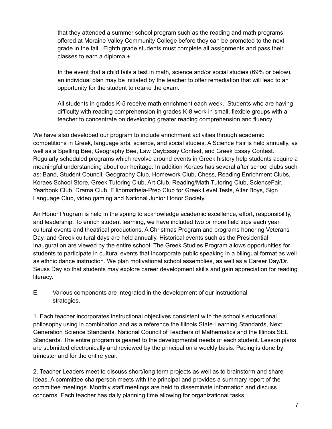that they attended a summer school program such as the reading and math programs offered at Moraine Valley Community College before they can be promoted to the next grade in the fall. Eighth grade students must complete all assignments and pass their classes to earn a diploma.+

In the event that a child fails a test in math, science and/or social studies (69% or below), an individual plan may be initiated by the teacher to offer remediation that will lead to an opportunity for the student to retake the exam.

All students in grades K-5 receive math enrichment each week. Students who are having difficulty with reading comprehension in grades K-8 work in small, flexible groups with a teacher to concentrate on developing greater reading comprehension and fluency.

We have also developed our program to include enrichment activities through academic competitions in Greek, language arts, science, and social studies. A Science Fair is held annually, as well as a Spelling Bee, Geography Bee, Law DayEssay Contest, and Greek Essay Contest. Regularly scheduled programs which revolve around events in Greek history help students acquire a meaningful understanding about our heritage. In addition Koraes has several after school clubs such as: Band, Student Council, Geography Club, Homework Club, Chess, Reading Enrichment Clubs, Koraes School Store, Greek Tutoring Club, Art Club, Reading/Math Tutoring Club, ScienceFair, Yearbook Club, Drama Club, Ellinomatheia-Prep Club for Greek Level Tests, Altar Boys, Sign Language Club, video gaming and National Junior Honor Society.

An Honor Program is held in the spring to acknowledge academic excellence, effort, responsibility, and leadership. To enrich student learning, we have included two or more field trips each year, cultural events and theatrical productions. A Christmas Program and programs honoring Veterans Day, and Greek cultural days are held annually. Historical events such as the Presidential Inauguration are viewed by the entire school. The Greek Studies Program allows opportunities for students to participate in cultural events that incorporate public speaking in a bilingual format as well as ethnic dance instruction. We plan motivational school assemblies, as well as a Career Day/Dr. Seuss Day so that students may explore career development skills and gain appreciation for reading literacy.

E. Various components are integrated in the development of our instructional strategies.

1. Each teacher incorporates instructional objectives consistent with the school's educational philosophy using in combination and as a reference the Illinois State Learning Standards, Next Generation Science Standards, National Council of Teachers of Mathematics and the Illinois SEL Standards. The entire program is geared to the developmental needs of each student. Lesson plans are submitted electronically and reviewed by the principal on a weekly basis. Pacing is done by trimester and for the entire year.

2. Teacher Leaders meet to discuss short/long term projects as well as to brainstorm and share ideas. A committee chairperson meets with the principal and provides a summary report of the committee meetings. Monthly staff meetings are held to disseminate information and discuss concerns. Each teacher has daily planning time allowing for organizational tasks.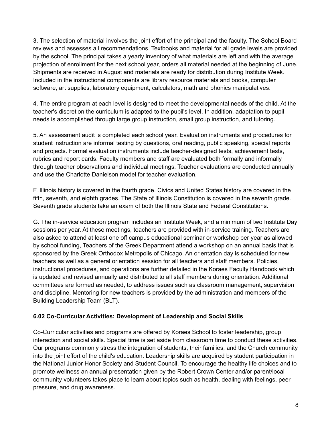3. The selection of material involves the joint effort of the principal and the faculty. The School Board reviews and assesses all recommendations. Textbooks and material for all grade levels are provided by the school. The principal takes a yearly inventory of what materials are left and with the average projection of enrollment for the next school year, orders all material needed at the beginning of June. Shipments are received in August and materials are ready for distribution during Institute Week. Included in the instructional components are library resource materials and books, computer software, art supplies, laboratory equipment, calculators, math and phonics manipulatives.

4. The entire program at each level is designed to meet the developmental needs of the child. At the teacher's discretion the curriculum is adapted to the pupil's level. In addition, adaptation to pupil needs is accomplished through large group instruction, small group instruction, and tutoring.

5. An assessment audit is completed each school year. Evaluation instruments and procedures for student instruction are informal testing by questions, oral reading, public speaking, special reports and projects. Formal evaluation instruments include teacher-designed tests, achievement tests, rubrics and report cards. Faculty members and staff are evaluated both formally and informally through teacher observations and individual meetings. Teacher evaluations are conducted annually and use the Charlotte Danielson model for teacher evaluation,

F. Illinois history is covered in the fourth grade. Civics and United States history are covered in the fifth, seventh, and eighth grades. The State of Illinois Constitution is covered in the seventh grade. Seventh grade students take an exam of both the Illinois State and Federal Constitutions.

G. The in-service education program includes an Institute Week, and a minimum of two Institute Day sessions per year. At these meetings, teachers are provided with in-service training. Teachers are also asked to attend at least one off campus educational seminar or workshop per year as allowed by school funding, Teachers of the Greek Department attend a workshop on an annual basis that is sponsored by the Greek Orthodox Metropolis of Chicago. An orientation day is scheduled for new teachers as well as a general orientation session for all teachers and staff members. Policies, instructional procedures, and operations are further detailed in the Koraes Faculty Handbook which is updated and revised annually and distributed to all staff members during orientation. Additional committees are formed as needed, to address issues such as classroom management, supervision and discipline. Mentoring for new teachers is provided by the administration and members of the Building Leadership Team (BLT).

## **6.02 Co-Curricular Activities: Development of Leadership and Social Skills**

Co-Curricular activities and programs are offered by Koraes School to foster leadership, group interaction and social skills. Special time is set aside from classroom time to conduct these activities. Our programs commonly stress the integration of students, their families, and the Church community into the joint effort of the child's education. Leadership skills are acquired by student participation in the National Junior Honor Society and Student Council. To encourage the healthy life choices and to promote wellness an annual presentation given by the Robert Crown Center and/or parent/local community volunteers takes place to learn about topics such as health, dealing with feelings, peer pressure, and drug awareness.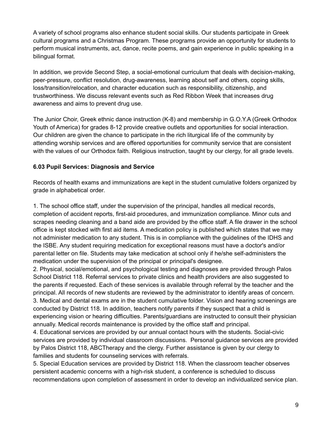A variety of school programs also enhance student social skills. Our students participate in Greek cultural programs and a Christmas Program. These programs provide an opportunity for students to perform musical instruments, act, dance, recite poems, and gain experience in public speaking in a bilingual format.

In addition, we provide Second Step, a social-emotional curriculum that deals with decision-making, peer-pressure, conflict resolution, drug-awareness, learning about self and others, coping skills, loss/transition/relocation, and character education such as responsibility, citizenship, and trustworthiness. We discuss relevant events such as Red Ribbon Week that increases drug awareness and aims to prevent drug use.

The Junior Choir, Greek ethnic dance instruction (K-8) and membership in G.O.Y.A (Greek Orthodox Youth of America) for grades 8-12 provide creative outlets and opportunities for social interaction. Our children are given the chance to participate in the rich liturgical life of the community by attending worship services and are offered opportunities for community service that are consistent with the values of our Orthodox faith. Religious instruction, taught by our clergy, for all grade levels.

## **6.03 Pupil Services: Diagnosis and Service**

Records of health exams and immunizations are kept in the student cumulative folders organized by grade in alphabetical order.

1. The school office staff, under the supervision of the principal, handles all medical records, completion of accident reports, first-aid procedures, and immunization compliance. Minor cuts and scrapes needing cleaning and a band aide are provided by the office staff. A file drawer in the school office is kept stocked with first aid items. A medication policy is published which states that we may not administer medication to any student. This is in compliance with the guidelines of the IDHS and the ISBE. Any student requiring medication for exceptional reasons must have a doctor's and/or parental letter on file. Students may take medication at school only if he/she self-administers the medication under the supervision of the principal or principal's designee.

2. Physical, social/emotional, and psychological testing and diagnoses are provided through Palos School District 118. Referral services to private clinics and health providers are also suggested to the parents if requested. Each of these services is available through referral by the teacher and the principal. All records of new students are reviewed by the administrator to identify areas of concern. 3. Medical and dental exams are in the student cumulative folder. Vision and hearing screenings are conducted by District 118. In addition, teachers notify parents if they suspect that a child is experiencing vision or hearing difficulties. Parents/guardians are instructed to consult their physician annually. Medical records maintenance is provided by the office staff and principal.

4. Educational services are provided by our annual contact hours with the students. Social-civic services are provided by individual classroom discussions. Personal guidance services are provided by Palos District 118, ABCTherapy and the clergy. Further assistance is given by our clergy to families and students for counseling services with referrals.

5. Special Education services are provided by District 118. When the classroom teacher observes persistent academic concerns with a high-risk student, a conference is scheduled to discuss recommendations upon completion of assessment in order to develop an individualized service plan.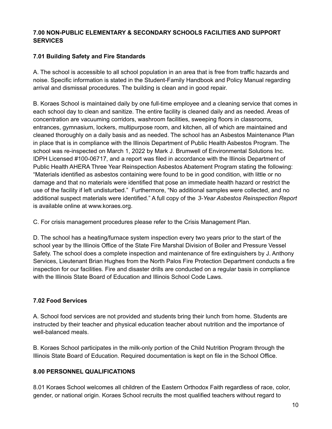## **7.00 NON-PUBLIC ELEMENTARY & SECONDARY SCHOOLS FACILITIES AND SUPPORT SERVICES**

## **7.01 Building Safety and Fire Standards**

A. The school is accessible to all school population in an area that is free from traffic hazards and noise. Specific information is stated in the Student-Family Handbook and Policy Manual regarding arrival and dismissal procedures. The building is clean and in good repair.

B. Koraes School is maintained daily by one full-time employee and a cleaning service that comes in each school day to clean and sanitize. The entire facility is cleaned daily and as needed. Areas of concentration are vacuuming corridors, washroom facilities, sweeping floors in classrooms, entrances, gymnasium, lockers, multipurpose room, and kitchen, all of which are maintained and cleaned thoroughly on a daily basis and as needed. The school has an Asbestos Maintenance Plan in place that is in compliance with the Illinois Department of Public Health Asbestos Program. The school was re-inspected on March 1, 2022 by Mark J. Brumwell of Environmental Solutions Inc. IDPH Licensed #100-06717, and a report was filed in accordance with the Illinois Department of Public Health AHERA Three Year Reinspection Asbestos Abatement Program stating the following: "Materials identified as asbestos containing were found to be in good condition, with little or no damage and that no materials were identified that pose an immediate health hazard or restrict the use of the facility if left undisturbed." Furthermore, "No additional samples were collected, and no additional suspect materials were identified." A full copy of the *3-Year Asbestos Reinspection Report* is available online at www.koraes.org.

C. For crisis management procedures please refer to the Crisis Management Plan.

D. The school has a heating/furnace system inspection every two years prior to the start of the school year by the Illinois Office of the State Fire Marshal Division of Boiler and Pressure Vessel Safety. The school does a complete inspection and maintenance of fire extinguishers by J. Anthony Services, Lieutenant Brian Hughes from the North Palos Fire Protection Department conducts a fire inspection for our facilities. Fire and disaster drills are conducted on a regular basis in compliance with the Illinois State Board of Education and Illinois School Code Laws.

# **7.02 Food Services**

A. School food services are not provided and students bring their lunch from home. Students are instructed by their teacher and physical education teacher about nutrition and the importance of well-balanced meals.

B. Koraes School participates in the milk-only portion of the Child Nutrition Program through the Illinois State Board of Education. Required documentation is kept on file in the School Office.

# **8.00 PERSONNEL QUALIFICATIONS**

8.01 Koraes School welcomes all children of the Eastern Orthodox Faith regardless of race, color, gender, or national origin. Koraes School recruits the most qualified teachers without regard to